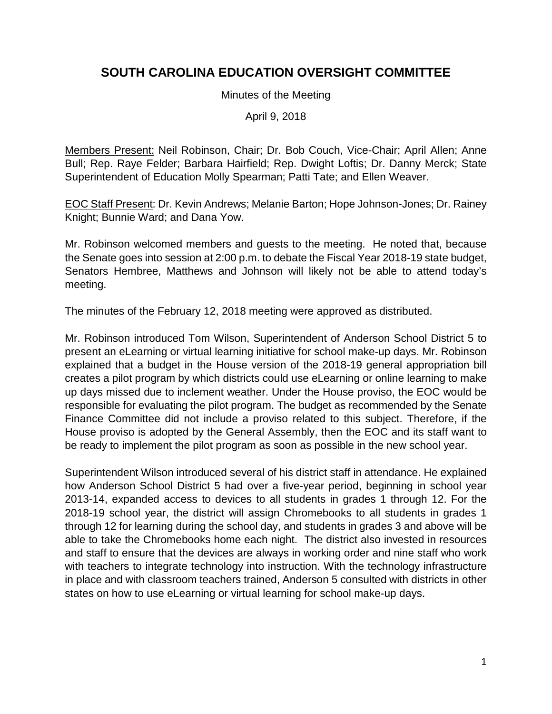# **SOUTH CAROLINA EDUCATION OVERSIGHT COMMITTEE**

Minutes of the Meeting

April 9, 2018

Members Present: Neil Robinson, Chair; Dr. Bob Couch, Vice-Chair; April Allen; Anne Bull; Rep. Raye Felder; Barbara Hairfield; Rep. Dwight Loftis; Dr. Danny Merck; State Superintendent of Education Molly Spearman; Patti Tate; and Ellen Weaver.

EOC Staff Present: Dr. Kevin Andrews; Melanie Barton; Hope Johnson-Jones; Dr. Rainey Knight; Bunnie Ward; and Dana Yow.

Mr. Robinson welcomed members and guests to the meeting. He noted that, because the Senate goes into session at 2:00 p.m. to debate the Fiscal Year 2018-19 state budget, Senators Hembree, Matthews and Johnson will likely not be able to attend today's meeting.

The minutes of the February 12, 2018 meeting were approved as distributed.

Mr. Robinson introduced Tom Wilson, Superintendent of Anderson School District 5 to present an eLearning or virtual learning initiative for school make-up days. Mr. Robinson explained that a budget in the House version of the 2018-19 general appropriation bill creates a pilot program by which districts could use eLearning or online learning to make up days missed due to inclement weather. Under the House proviso, the EOC would be responsible for evaluating the pilot program. The budget as recommended by the Senate Finance Committee did not include a proviso related to this subject. Therefore, if the House proviso is adopted by the General Assembly, then the EOC and its staff want to be ready to implement the pilot program as soon as possible in the new school year.

Superintendent Wilson introduced several of his district staff in attendance. He explained how Anderson School District 5 had over a five-year period, beginning in school year 2013-14, expanded access to devices to all students in grades 1 through 12. For the 2018-19 school year, the district will assign Chromebooks to all students in grades 1 through 12 for learning during the school day, and students in grades 3 and above will be able to take the Chromebooks home each night. The district also invested in resources and staff to ensure that the devices are always in working order and nine staff who work with teachers to integrate technology into instruction. With the technology infrastructure in place and with classroom teachers trained, Anderson 5 consulted with districts in other states on how to use eLearning or virtual learning for school make-up days.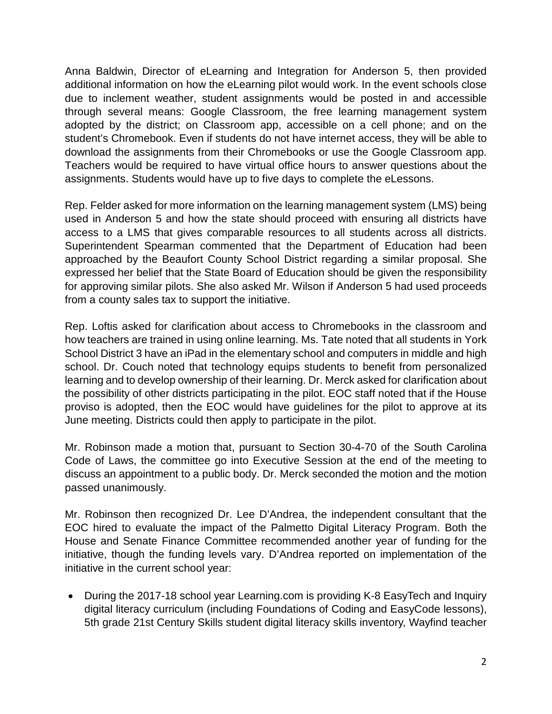Anna Baldwin, Director of eLearning and Integration for Anderson 5, then provided additional information on how the eLearning pilot would work. In the event schools close due to inclement weather, student assignments would be posted in and accessible through several means: Google Classroom, the free learning management system adopted by the district; on Classroom app, accessible on a cell phone; and on the student's Chromebook. Even if students do not have internet access, they will be able to download the assignments from their Chromebooks or use the Google Classroom app. Teachers would be required to have virtual office hours to answer questions about the assignments. Students would have up to five days to complete the eLessons.

Rep. Felder asked for more information on the learning management system (LMS) being used in Anderson 5 and how the state should proceed with ensuring all districts have access to a LMS that gives comparable resources to all students across all districts. Superintendent Spearman commented that the Department of Education had been approached by the Beaufort County School District regarding a similar proposal. She expressed her belief that the State Board of Education should be given the responsibility for approving similar pilots. She also asked Mr. Wilson if Anderson 5 had used proceeds from a county sales tax to support the initiative.

Rep. Loftis asked for clarification about access to Chromebooks in the classroom and how teachers are trained in using online learning. Ms. Tate noted that all students in York School District 3 have an iPad in the elementary school and computers in middle and high school. Dr. Couch noted that technology equips students to benefit from personalized learning and to develop ownership of their learning. Dr. Merck asked for clarification about the possibility of other districts participating in the pilot. EOC staff noted that if the House proviso is adopted, then the EOC would have guidelines for the pilot to approve at its June meeting. Districts could then apply to participate in the pilot.

Mr. Robinson made a motion that, pursuant to Section 30-4-70 of the South Carolina Code of Laws, the committee go into Executive Session at the end of the meeting to discuss an appointment to a public body. Dr. Merck seconded the motion and the motion passed unanimously.

Mr. Robinson then recognized Dr. Lee D'Andrea, the independent consultant that the EOC hired to evaluate the impact of the Palmetto Digital Literacy Program. Both the House and Senate Finance Committee recommended another year of funding for the initiative, though the funding levels vary. D'Andrea reported on implementation of the initiative in the current school year:

• During the 2017-18 school year Learning.com is providing K-8 EasyTech and Inquiry digital literacy curriculum (including Foundations of Coding and EasyCode lessons), 5th grade 21st Century Skills student digital literacy skills inventory, Wayfind teacher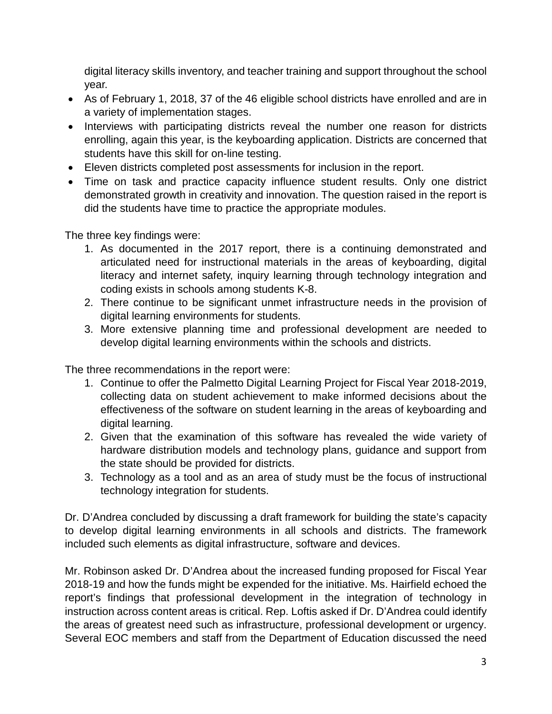digital literacy skills inventory, and teacher training and support throughout the school year.

- As of February 1, 2018, 37 of the 46 eligible school districts have enrolled and are in a variety of implementation stages.
- Interviews with participating districts reveal the number one reason for districts enrolling, again this year, is the keyboarding application. Districts are concerned that students have this skill for on-line testing.
- Eleven districts completed post assessments for inclusion in the report.
- Time on task and practice capacity influence student results. Only one district demonstrated growth in creativity and innovation. The question raised in the report is did the students have time to practice the appropriate modules.

The three key findings were:

- 1. As documented in the 2017 report, there is a continuing demonstrated and articulated need for instructional materials in the areas of keyboarding, digital literacy and internet safety, inquiry learning through technology integration and coding exists in schools among students K-8.
- 2. There continue to be significant unmet infrastructure needs in the provision of digital learning environments for students.
- 3. More extensive planning time and professional development are needed to develop digital learning environments within the schools and districts.

The three recommendations in the report were:

- 1. Continue to offer the Palmetto Digital Learning Project for Fiscal Year 2018-2019, collecting data on student achievement to make informed decisions about the effectiveness of the software on student learning in the areas of keyboarding and digital learning.
- 2. Given that the examination of this software has revealed the wide variety of hardware distribution models and technology plans, guidance and support from the state should be provided for districts.
- 3. Technology as a tool and as an area of study must be the focus of instructional technology integration for students.

Dr. D'Andrea concluded by discussing a draft framework for building the state's capacity to develop digital learning environments in all schools and districts. The framework included such elements as digital infrastructure, software and devices.

Mr. Robinson asked Dr. D'Andrea about the increased funding proposed for Fiscal Year 2018-19 and how the funds might be expended for the initiative. Ms. Hairfield echoed the report's findings that professional development in the integration of technology in instruction across content areas is critical. Rep. Loftis asked if Dr. D'Andrea could identify the areas of greatest need such as infrastructure, professional development or urgency. Several EOC members and staff from the Department of Education discussed the need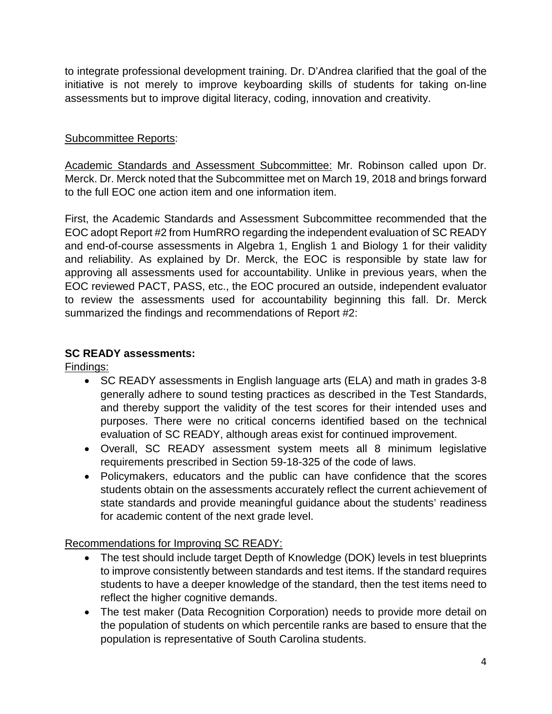to integrate professional development training. Dr. D'Andrea clarified that the goal of the initiative is not merely to improve keyboarding skills of students for taking on-line assessments but to improve digital literacy, coding, innovation and creativity.

### Subcommittee Reports:

Academic Standards and Assessment Subcommittee: Mr. Robinson called upon Dr. Merck. Dr. Merck noted that the Subcommittee met on March 19, 2018 and brings forward to the full EOC one action item and one information item.

First, the Academic Standards and Assessment Subcommittee recommended that the EOC adopt Report #2 from HumRRO regarding the independent evaluation of SC READY and end-of-course assessments in Algebra 1, English 1 and Biology 1 for their validity and reliability. As explained by Dr. Merck, the EOC is responsible by state law for approving all assessments used for accountability. Unlike in previous years, when the EOC reviewed PACT, PASS, etc., the EOC procured an outside, independent evaluator to review the assessments used for accountability beginning this fall. Dr. Merck summarized the findings and recommendations of Report #2:

### **SC READY assessments:**

Findings:

- SC READY assessments in English language arts (ELA) and math in grades 3-8 generally adhere to sound testing practices as described in the Test Standards, and thereby support the validity of the test scores for their intended uses and purposes. There were no critical concerns identified based on the technical evaluation of SC READY, although areas exist for continued improvement.
- Overall, SC READY assessment system meets all 8 minimum legislative requirements prescribed in Section 59-18-325 of the code of laws.
- Policymakers, educators and the public can have confidence that the scores students obtain on the assessments accurately reflect the current achievement of state standards and provide meaningful guidance about the students' readiness for academic content of the next grade level.

## Recommendations for Improving SC READY:

- The test should include target Depth of Knowledge (DOK) levels in test blueprints to improve consistently between standards and test items. If the standard requires students to have a deeper knowledge of the standard, then the test items need to reflect the higher cognitive demands.
- The test maker (Data Recognition Corporation) needs to provide more detail on the population of students on which percentile ranks are based to ensure that the population is representative of South Carolina students.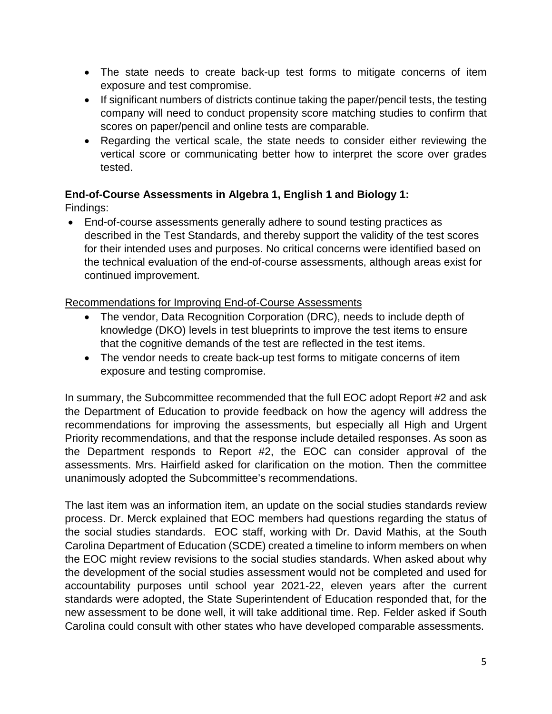- The state needs to create back-up test forms to mitigate concerns of item exposure and test compromise.
- If significant numbers of districts continue taking the paper/pencil tests, the testing company will need to conduct propensity score matching studies to confirm that scores on paper/pencil and online tests are comparable.
- Regarding the vertical scale, the state needs to consider either reviewing the vertical score or communicating better how to interpret the score over grades tested.

#### **End-of-Course Assessments in Algebra 1, English 1 and Biology 1:** Findings:

• End-of-course assessments generally adhere to sound testing practices as described in the Test Standards, and thereby support the validity of the test scores for their intended uses and purposes. No critical concerns were identified based on the technical evaluation of the end-of-course assessments, although areas exist for continued improvement.

#### Recommendations for Improving End-of-Course Assessments

- The vendor, Data Recognition Corporation (DRC), needs to include depth of knowledge (DKO) levels in test blueprints to improve the test items to ensure that the cognitive demands of the test are reflected in the test items.
- The vendor needs to create back-up test forms to mitigate concerns of item exposure and testing compromise.

In summary, the Subcommittee recommended that the full EOC adopt Report #2 and ask the Department of Education to provide feedback on how the agency will address the recommendations for improving the assessments, but especially all High and Urgent Priority recommendations, and that the response include detailed responses. As soon as the Department responds to Report #2, the EOC can consider approval of the assessments. Mrs. Hairfield asked for clarification on the motion. Then the committee unanimously adopted the Subcommittee's recommendations.

The last item was an information item, an update on the social studies standards review process. Dr. Merck explained that EOC members had questions regarding the status of the social studies standards. EOC staff, working with Dr. David Mathis, at the South Carolina Department of Education (SCDE) created a timeline to inform members on when the EOC might review revisions to the social studies standards. When asked about why the development of the social studies assessment would not be completed and used for accountability purposes until school year 2021-22, eleven years after the current standards were adopted, the State Superintendent of Education responded that, for the new assessment to be done well, it will take additional time. Rep. Felder asked if South Carolina could consult with other states who have developed comparable assessments.